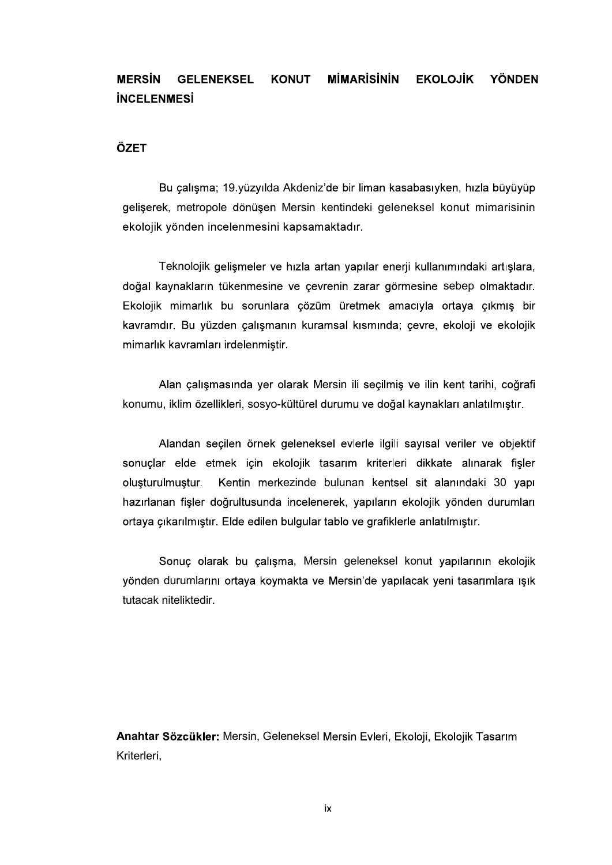## **MİMARİSİNİN MERSIN EKOLOJİK YÖNDEN GELENEKSEL KONUT INCELENMESI**

## ÖZET

Bu çalışma; 19.yüzyılda Akdeniz'de bir liman kasabasıyken, hızla büyüyüp gelişerek, metropole dönüşen Mersin kentindeki geleneksel konut mimarisinin ekolojik yönden incelenmesini kapsamaktadır.<br>Teknolojik gelişmeler ve hızla artan yapılar enerji kullanımındaki artışlara,

doğal kaynakların tükenmesine ve çevrenin zarar görmesine sebep olmaktadır. Ekolojik mimarlık bu sorunlara çözüm üretmek amacıyla ortaya çıkmış bir kavramdır. Bu yüzden çalışmanın kuramsal kısmında; çevre, ekoloji ve ekolojik mimarlık kavramları irdelenmiştir.

Alan çalışmasında yer olarak Mersin ili seçilmiş ve ilin kent tarihi, coğrafi konumu, iklim özellikleri, sosyo-kültürel durumu ve doğal kaynakları anlatılmıştır.

Alandan seçilen örnek geleneksel evlerle ilgili sayısal veriler ve objektif sonuçlar elde etmek için ekolojik tasarım kriterleri dikkate alınarak fişler oluşturulmuştur Kentin merkezinde bulunan kentsel sit alanındaki 30 yapı hazırlanan fisler doğrultusunda incelenerek, yapıların ekolojik yönden durumları ortaya çıkarılmıştır. Elde edilen bulgular tablo ve grafiklerle anlatılmıştır.

Sonuc olarak bu calisma, Mersin geleneksel konut yapılarının ekolojik yönden durumlarını ortaya koymakta ve Mersin'de yapılacak yeni tasarımlara ısık tutacak niteliktedir.

Anahtar Sözcükler: Mersin, Geleneksel Mersin Evleri, Ekoloji, Ekolojik Tasarım Kriterleri,